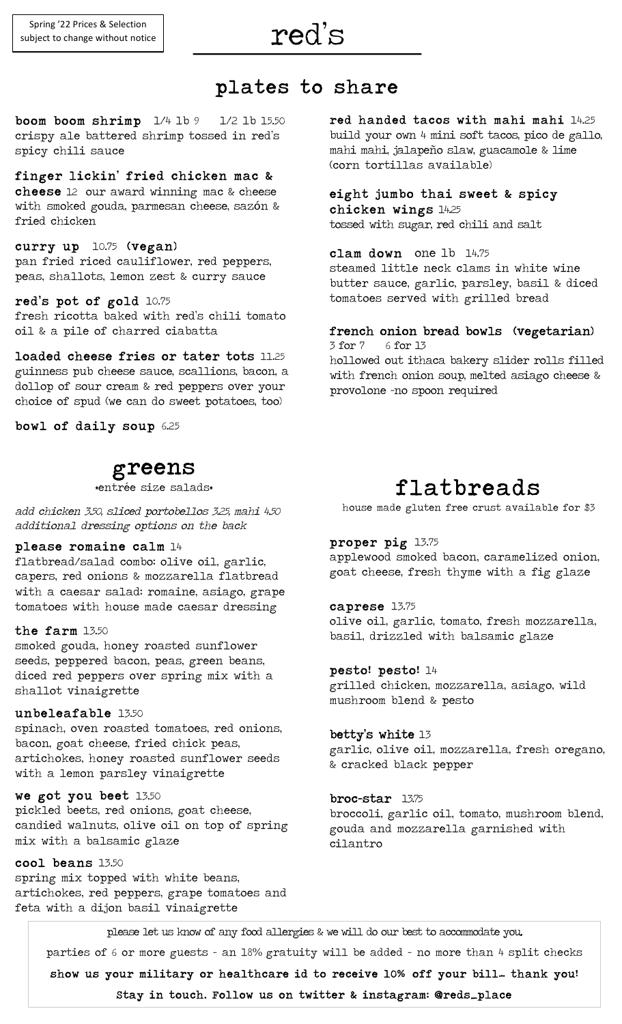## red's

ı

### plates to share

boom boom shrimp  $1/4$  lb  $9$   $1/2$  lb 15.50 crispy ale battered shrimp tossed in red's spicy chili sauce

#### finger lickin' fried chicken mac &

cheese 12 our award winning mac & cheese with smoked gouda, parmesan cheese, sazón & fried chicken

#### curry up 10.75 (vegan)

pan fried riced cauliflower, red peppers, peas, shallots, lemon zest & curry sauce

#### red's pot of gold 10.75

fresh ricotta baked with red's chili tomato oil & a pile of charred ciabatta

loaded cheese fries or tater tots 11.25 guinness pub cheese sauce, scallions, bacon, a dollop of sour cream & red peppers over your choice of spud (we can do sweet potatoes, too)

bowl of daily soup 6.25

## greens<br>\*entrée size salads\*

add chicken 3.50, sliced portobellos 3.25, mahi 4.50 additional dressing options on the back

#### please romaine calm 14

flatbread/salad combo: olive oil, garlic, capers, red onions & mozzarella flatbread with a caesar salad: romaine, asiago, grape tomatoes with house made caesar dressing

#### the farm 13.50

smoked gouda, honey roasted sunflower seeds, peppered bacon, peas, green beans, diced red peppers over spring mix with a shallot vinaigrette

#### unbeleafable 13.50

spinach, oven roasted tomatoes, red onions, bacon, goat cheese, fried chick peas, artichokes, honey roasted sunflower seeds with a lemon parsley vinaigrette

#### we got you beet 13.50

pickled beets, red onions, goat cheese, candied walnuts, olive oil on top of spring mix with a balsamic glaze

#### cool beans 13.50

spring mix topped with white beans, artichokes, red peppers, grape tomatoes and feta with a dijon basil vinaigrette

red handed tacos with mahi mahi 14.25 build your own 4 mini soft tacos, pico de gallo, mahi mahi, jalapeño slaw, guacamole & lime (corn tortillas available)

#### eight jumbo thai sweet & spicy chicken wings 14.25

tossed with sugar, red chili and salt

#### clam down one lb 14.75

steamed little neck clams in white wine butter sauce, garlic, parsley, basil & diced tomatoes served with grilled bread

#### french onion bread bowls (vegetarian)

3 for 7 6 for 13 hollowed out ithaca bakery slider rolls filled with french onion soup, melted asiago cheese & provolone -no spoon required

flatbreads<br>house made gluten free crust available for \$3

#### proper pig 13.75

applewood smoked bacon, caramelized onion, goat cheese, fresh thyme with a fig glaze

#### caprese 13.75

olive oil, garlic, tomato, fresh mozzarella, basil, drizzled with balsamic glaze

#### pesto! pesto! 14

grilled chicken, mozzarella, asiago, wild mushroom blend & pesto

#### betty's white 13

garlic, olive oil, mozzarella, fresh oregano, & cracked black pepper

#### broc-star 13.75

broccoli, garlic oil, tomato, mushroom blend, gouda and mozzarella garnished with cilantro

please let us know of any food allergies & we will do our best to accommodate you.

parties of 6 or more guests - an 18% gratuity will be added – no more than 4 split checks

show us your military or healthcare id to receive 10**%**  off your bill… thank you!

Stay in touch. Follow us on twitter & instagram: @reds\_place